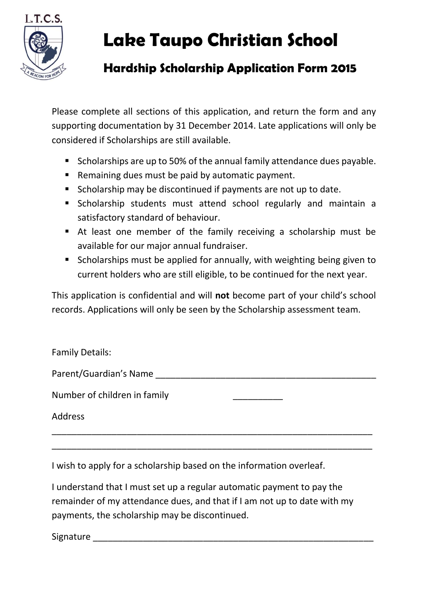

## **Lake Taupo Christian School**

## **Hardship Scholarship Application Form 2015**

Please complete all sections of this application, and return the form and any supporting documentation by 31 December 2014. Late applications will only be considered if Scholarships are still available.

- Scholarships are up to 50% of the annual family attendance dues payable.
- **EXECT** Remaining dues must be paid by automatic payment.
- **Scholarship may be discontinued if payments are not up to date.**
- Scholarship students must attend school regularly and maintain a satisfactory standard of behaviour.
- At least one member of the family receiving a scholarship must be available for our major annual fundraiser.
- **Scholarships must be applied for annually, with weighting being given to** current holders who are still eligible, to be continued for the next year.

This application is confidential and will **not** become part of your child's school records. Applications will only be seen by the Scholarship assessment team.

| <b>Family Details:</b>       |  |
|------------------------------|--|
| Parent/Guardian's Name       |  |
| Number of children in family |  |
| <b>Address</b>               |  |
|                              |  |

\_\_\_\_\_\_\_\_\_\_\_\_\_\_\_\_\_\_\_\_\_\_\_\_\_\_\_\_\_\_\_\_\_\_\_\_\_\_\_\_\_\_\_\_\_\_\_\_\_\_\_\_\_\_\_\_\_\_\_\_\_\_\_\_

I wish to apply for a scholarship based on the information overleaf.

I understand that I must set up a regular automatic payment to pay the remainder of my attendance dues, and that if I am not up to date with my payments, the scholarship may be discontinued.

Signature **Example 20**